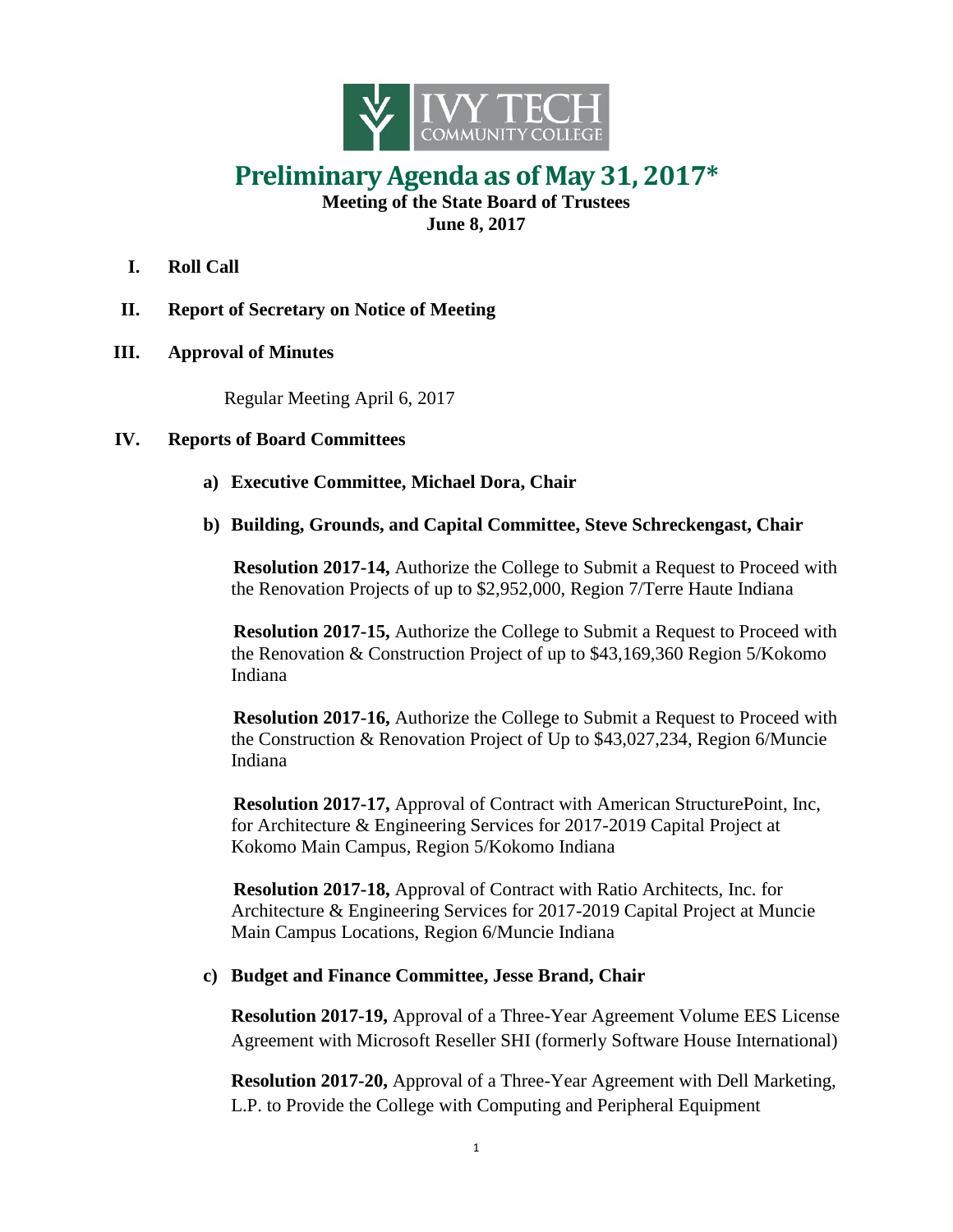

## **Preliminary Agenda as of May 31, 2017\***

**Meeting of the State Board of Trustees June 8, 2017**

- **I. Roll Call**
- **II. Report of Secretary on Notice of Meeting**
- **III. Approval of Minutes**

Regular Meeting April 6, 2017

## **IV. Reports of Board Committees**

- **a) Executive Committee, Michael Dora, Chair**
- **b) Building, Grounds, and Capital Committee, Steve Schreckengast, Chair**

**Resolution 2017-14,** Authorize the College to Submit a Request to Proceed with the Renovation Projects of up to \$2,952,000, Region 7/Terre Haute Indiana

**Resolution 2017-15,** Authorize the College to Submit a Request to Proceed with the Renovation & Construction Project of up to \$43,169,360 Region 5/Kokomo Indiana

**Resolution 2017-16,** Authorize the College to Submit a Request to Proceed with the Construction & Renovation Project of Up to \$43,027,234, Region 6/Muncie Indiana

**Resolution 2017-17,** Approval of Contract with American StructurePoint, Inc, for Architecture & Engineering Services for 2017-2019 Capital Project at Kokomo Main Campus, Region 5/Kokomo Indiana

**Resolution 2017-18,** Approval of Contract with Ratio Architects, Inc. for Architecture & Engineering Services for 2017-2019 Capital Project at Muncie Main Campus Locations, Region 6/Muncie Indiana

## **c) Budget and Finance Committee, Jesse Brand, Chair**

**Resolution 2017-19,** Approval of a Three-Year Agreement Volume EES License Agreement with Microsoft Reseller SHI (formerly Software House International)

**Resolution 2017-20,** Approval of a Three-Year Agreement with Dell Marketing, L.P. to Provide the College with Computing and Peripheral Equipment